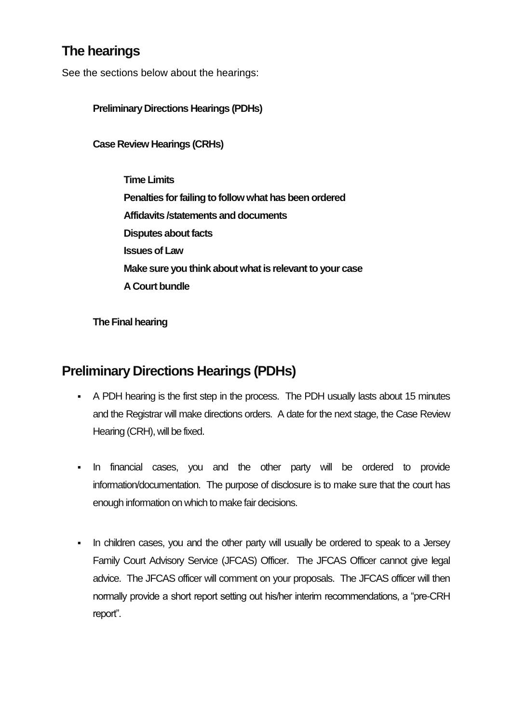### **The hearings**

See the sections below about the hearings:

**Preliminary Directions Hearings (PDHs)**

**Case Review Hearings (CRHs)**

**Time Limits Penalties for failing to follow what has been ordered Affidavits /statements and documents Disputes about facts Issues of Law Make sure you think about what is relevant to your case A Court bundle**

**The Final hearing**

# **Preliminary Directions Hearings (PDHs)**

- A PDH hearing is the first step in the process. The PDH usually lasts about 15 minutes and the Registrar will make directions orders. A date for the next stage, the Case Review Hearing (CRH), will be fixed.
- In financial cases, you and the other party will be ordered to provide information/documentation. The purpose of disclosure is to make sure that the court has enough information on which to make fair decisions.
- In children cases, you and the other party will usually be ordered to speak to a Jersey Family Court Advisory Service (JFCAS) Officer. The JFCAS Officer cannot give legal advice. The JFCAS officer will comment on your proposals. The JFCAS officer will then normally provide a short report setting out his/her interim recommendations, a "pre-CRH report".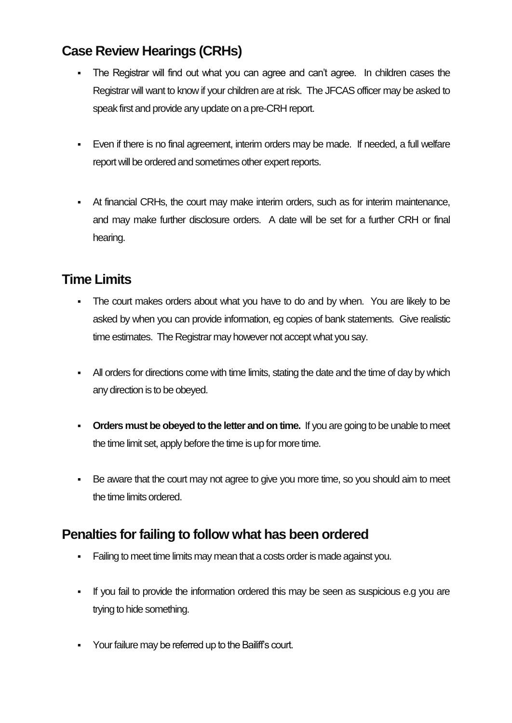# **Case Review Hearings (CRHs)**

- The Registrar will find out what you can agree and can't agree. In children cases the Registrar will want to know if your children are at risk. The JFCAS officer may be asked to speak first and provide any update on a pre-CRH report.
- Even if there is no final agreement, interim orders may be made. If needed, a full welfare report will be ordered and sometimes other expert reports.
- At financial CRHs, the court may make interim orders, such as for interim maintenance, and may make further disclosure orders. A date will be set for a further CRH or final hearing.

# **Time Limits**

- The court makes orders about what you have to do and by when. You are likely to be asked by when you can provide information, eg copies of bank statements. Give realistic time estimates. The Registrar may however not accept what you say.
- All orders for directions come with time limits, stating the date and the time of day by which any direction is to be obeyed.
- **Orders must be obeyed to the letter and on time.** If you are going to be unable to meet the time limit set, apply before the time is up for more time.
- Be aware that the court may not agree to give you more time, so you should aim to meet the time limits ordered.

# **Penalties for failing to follow what has been ordered**

- Failing to meet time limits may mean that a costs order is made against you.
- If you fail to provide the information ordered this may be seen as suspicious e.g you are trying to hide something.
- Your failure may be referred up to the Bailiff's court.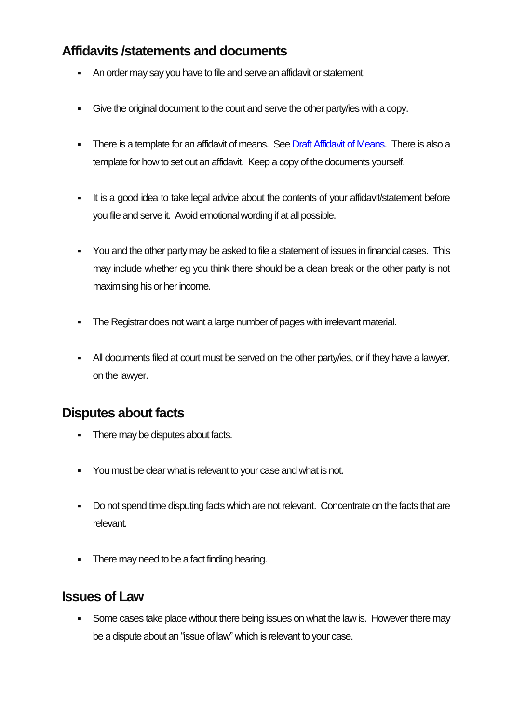### **Affidavits /statements and documents**

- An order may say you have to file and serve an affidavit or statement.
- Give the original document to the court and serve the other party/ies with a copy.
- There is a template for an affidavit of means. Se[e Draft Affidavit of Means.](http://www.gov.je/LifeEvents/SeparationDivorce/Pages/Guidance.aspx) There is also a template for how to set out an affidavit. Keep a copy of the documents yourself.
- It is a good idea to take legal advice about the contents of your affidavit/statement before you file and serve it. Avoid emotional wording if at all possible.
- You and the other party may be asked to file a statement of issues in financial cases. This may include whether eg you think there should be a clean break or the other party is not maximising his or her income.
- The Registrar does not want a large number of pages with irrelevant material.
- All documents filed at court must be served on the other party/ies, or if they have a lawyer, on the lawyer.

### **Disputes about facts**

- There may be disputes about facts.
- You must be clear what is relevant to your case and what is not.
- Do not spend time disputing facts which are not relevant. Concentrate on the facts that are relevant.
- There may need to be a fact finding hearing.

#### **Issues of Law**

Some cases take place without there being issues on what the law is. However there may be a dispute about an "issue of law" which is relevant to your case.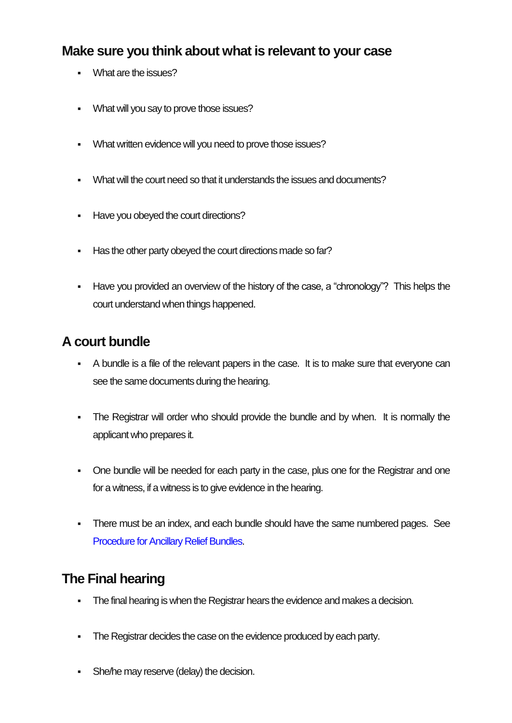#### **Make sure you think about what is relevant to your case**

- **What are the issues?**
- What will you say to prove those issues?
- What written evidence will you need to prove those issues?
- What will the court need so that it understands the issues and documents?
- Have you obeyed the court directions?
- Has the other party obeyed the court directions made so far?
- Have you provided an overview of the history of the case, a "chronology"? This helps the court understand when things happened.

### **A court bundle**

- A bundle is a file of the relevant papers in the case. It is to make sure that everyone can see the same documents during the hearing.
- The Registrar will order who should provide the bundle and by when. It is normally the applicant who prepares it.
- One bundle will be needed for each party in the case, plus one for the Registrar and one for a witness, if a witness is to give evidence in the hearing.
- There must be an index, and each bundle should have the same numbered pages. See [Procedure for Ancillary Relief Bundles.](http://www.gov.je/LifeEvents/SeparationDivorce/Pages/Guidance.aspx)

### **The Final hearing**

- The final hearing is when the Registrar hears the evidence and makes a decision.
- The Registrar decides the case on the evidence produced by each party.
- **She/he may reserve (delay) the decision.**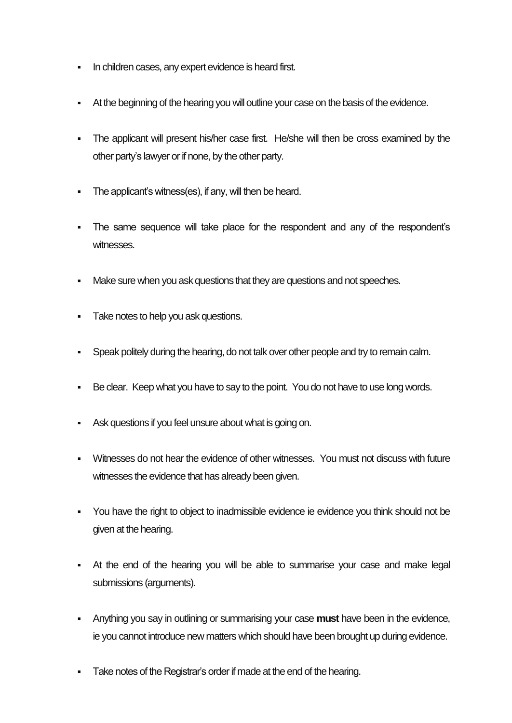- In children cases, any expert evidence is heard first.
- At the beginning of the hearing you will outline your case on the basis of the evidence.
- The applicant will present his/her case first. He/she will then be cross examined by the other party's lawyer or if none, by the other party.
- The applicant's witness(es), if any, will then be heard.
- The same sequence will take place for the respondent and any of the respondent's witnesses.
- Make sure when you ask questions that they are questions and not speeches.
- Take notes to help you ask questions.
- Speak politely during the hearing, do not talk over other people and try to remain calm.
- Be clear. Keep what you have to say to the point. You do not have to use long words.
- Ask questions if you feel unsure about what is going on.
- Witnesses do not hear the evidence of other witnesses. You must not discuss with future witnesses the evidence that has already been given.
- You have the right to object to inadmissible evidence ie evidence you think should not be given at the hearing.
- At the end of the hearing you will be able to summarise your case and make legal submissions (arguments).
- Anything you say in outlining or summarising your case **must** have been in the evidence, ie you cannot introduce new matters which should have been brought up during evidence.
- Take notes of the Registrar's order if made at the end of the hearing.